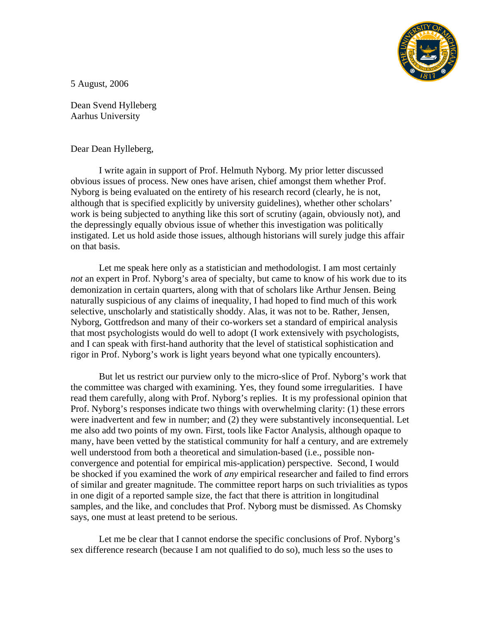

5 August, 2006

Dean Svend Hylleberg Aarhus University

Dear Dean Hylleberg,

 I write again in support of Prof. Helmuth Nyborg. My prior letter discussed obvious issues of process. New ones have arisen, chief amongst them whether Prof. Nyborg is being evaluated on the entirety of his research record (clearly, he is not, although that is specified explicitly by university guidelines), whether other scholars' work is being subjected to anything like this sort of scrutiny (again, obviously not), and the depressingly equally obvious issue of whether this investigation was politically instigated. Let us hold aside those issues, although historians will surely judge this affair on that basis.

 Let me speak here only as a statistician and methodologist. I am most certainly *not* an expert in Prof. Nyborg's area of specialty, but came to know of his work due to its demonization in certain quarters, along with that of scholars like Arthur Jensen. Being naturally suspicious of any claims of inequality, I had hoped to find much of this work selective, unscholarly and statistically shoddy. Alas, it was not to be. Rather, Jensen, Nyborg, Gottfredson and many of their co-workers set a standard of empirical analysis that most psychologists would do well to adopt (I work extensively with psychologists, and I can speak with first-hand authority that the level of statistical sophistication and rigor in Prof. Nyborg's work is light years beyond what one typically encounters).

 But let us restrict our purview only to the micro-slice of Prof. Nyborg's work that the committee was charged with examining. Yes, they found some irregularities. I have read them carefully, along with Prof. Nyborg's replies. It is my professional opinion that Prof. Nyborg's responses indicate two things with overwhelming clarity: (1) these errors were inadvertent and few in number; and (2) they were substantively inconsequential. Let me also add two points of my own. First, tools like Factor Analysis, although opaque to many, have been vetted by the statistical community for half a century, and are extremely well understood from both a theoretical and simulation-based (i.e., possible nonconvergence and potential for empirical mis-application) perspective. Second, I would be shocked if you examined the work of *any* empirical researcher and failed to find errors of similar and greater magnitude. The committee report harps on such trivialities as typos in one digit of a reported sample size, the fact that there is attrition in longitudinal samples, and the like, and concludes that Prof. Nyborg must be dismissed. As Chomsky says, one must at least pretend to be serious.

 Let me be clear that I cannot endorse the specific conclusions of Prof. Nyborg's sex difference research (because I am not qualified to do so), much less so the uses to